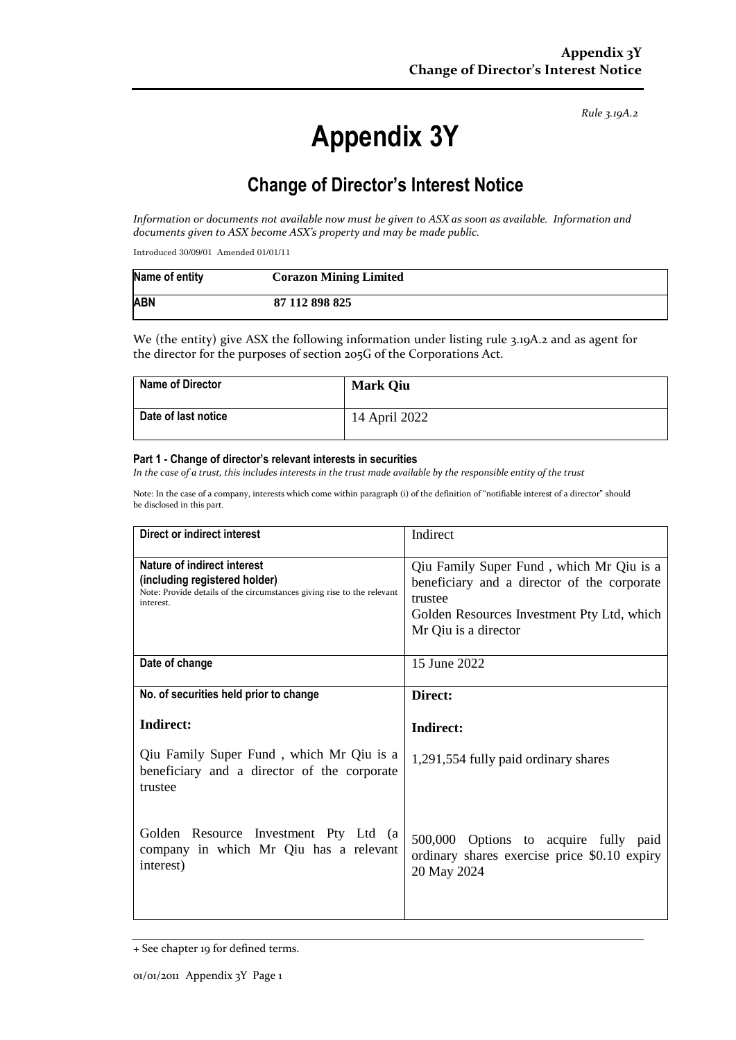*Rule 3.19A.2*

# **Appendix 3Y**

# **Change of Director's Interest Notice**

*Information or documents not available now must be given to ASX as soon as available. Information and documents given to ASX become ASX's property and may be made public.*

Introduced 30/09/01 Amended 01/01/11

| Name of entity | <b>Corazon Mining Limited</b> |
|----------------|-------------------------------|
| <b>ABN</b>     | 87 112 898 825                |

We (the entity) give ASX the following information under listing rule 3.19A.2 and as agent for the director for the purposes of section 205G of the Corporations Act.

| Name of Director    | <b>Mark Qiu</b> |
|---------------------|-----------------|
| Date of last notice | 14 April 2022   |

#### **Part 1 - Change of director's relevant interests in securities**

*In the case of a trust, this includes interests in the trust made available by the responsible entity of the trust*

Note: In the case of a company, interests which come within paragraph (i) of the definition of "notifiable interest of a director" should be disclosed in this part.

| Direct or indirect interest                                                                                                                         | Indirect                                                                                                                                                                 |  |
|-----------------------------------------------------------------------------------------------------------------------------------------------------|--------------------------------------------------------------------------------------------------------------------------------------------------------------------------|--|
| Nature of indirect interest<br>(including registered holder)<br>Note: Provide details of the circumstances giving rise to the relevant<br>interest. | Qiu Family Super Fund, which Mr Qiu is a<br>beneficiary and a director of the corporate<br>trustee<br>Golden Resources Investment Pty Ltd, which<br>Mr Qiu is a director |  |
| Date of change                                                                                                                                      | 15 June 2022                                                                                                                                                             |  |
| No. of securities held prior to change                                                                                                              | Direct:                                                                                                                                                                  |  |
| Indirect:                                                                                                                                           | Indirect:                                                                                                                                                                |  |
| Qiu Family Super Fund, which Mr Qiu is a<br>beneficiary and a director of the corporate<br>trustee                                                  | 1,291,554 fully paid ordinary shares                                                                                                                                     |  |
| Golden Resource Investment Pty Ltd (a<br>company in which Mr Qiu has a relevant<br>interest)                                                        | 500,000 Options to acquire fully paid<br>ordinary shares exercise price \$0.10 expiry<br>20 May 2024                                                                     |  |

<sup>+</sup> See chapter 19 for defined terms.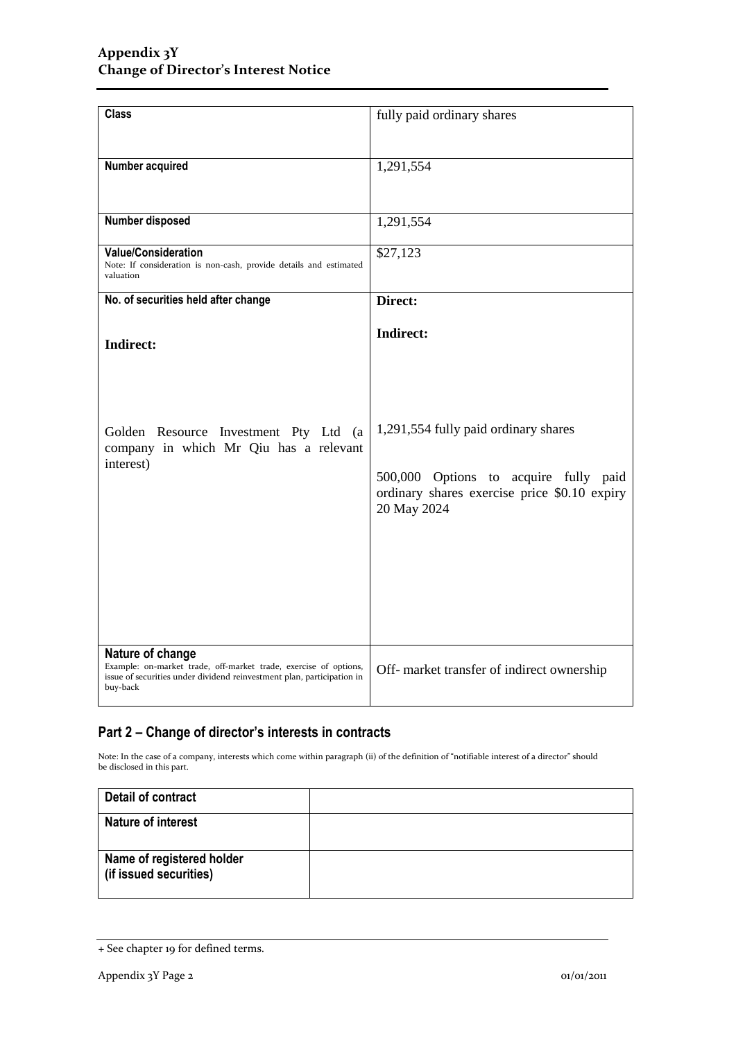| <b>Class</b>                                                                                                                                                               | fully paid ordinary shares                                                                                                                   |  |
|----------------------------------------------------------------------------------------------------------------------------------------------------------------------------|----------------------------------------------------------------------------------------------------------------------------------------------|--|
| Number acquired                                                                                                                                                            | 1,291,554                                                                                                                                    |  |
| Number disposed                                                                                                                                                            | 1,291,554                                                                                                                                    |  |
| <b>Value/Consideration</b><br>Note: If consideration is non-cash, provide details and estimated<br>valuation                                                               | \$27,123                                                                                                                                     |  |
| No. of securities held after change                                                                                                                                        | Direct:                                                                                                                                      |  |
| <b>Indirect:</b>                                                                                                                                                           | <b>Indirect:</b>                                                                                                                             |  |
| Golden Resource Investment Pty Ltd (a<br>company in which Mr Qiu has a relevant<br>interest)                                                                               | 1,291,554 fully paid ordinary shares<br>500,000 Options to acquire fully paid<br>ordinary shares exercise price \$0.10 expiry<br>20 May 2024 |  |
| Nature of change<br>Example: on-market trade, off-market trade, exercise of options,<br>issue of securities under dividend reinvestment plan, participation in<br>buy-back | Off- market transfer of indirect ownership                                                                                                   |  |

## **Part 2 – Change of director's interests in contracts**

Note: In the case of a company, interests which come within paragraph (ii) of the definition of "notifiable interest of a director" should be disclosed in this part.

| Detail of contract                                  |  |
|-----------------------------------------------------|--|
| <b>Nature of interest</b>                           |  |
| Name of registered holder<br>(if issued securities) |  |

<sup>+</sup> See chapter 19 for defined terms.